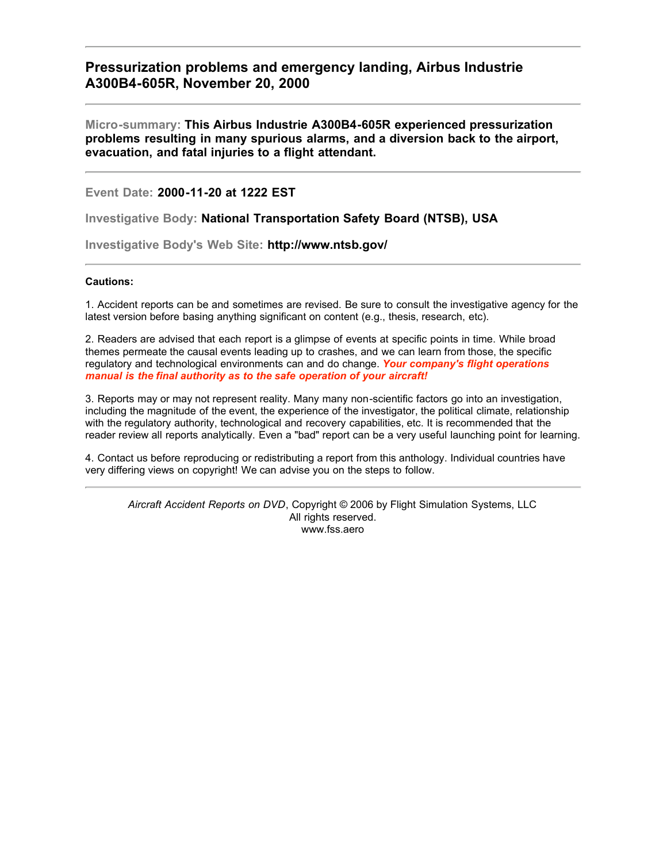# **Pressurization problems and emergency landing, Airbus Industrie A300B4-605R, November 20, 2000**

**Micro-summary: This Airbus Industrie A300B4-605R experienced pressurization problems resulting in many spurious alarms, and a diversion back to the airport, evacuation, and fatal injuries to a flight attendant.**

**Event Date: 2000-11-20 at 1222 EST**

**Investigative Body: National Transportation Safety Board (NTSB), USA**

**Investigative Body's Web Site: http://www.ntsb.gov/**

## **Cautions:**

1. Accident reports can be and sometimes are revised. Be sure to consult the investigative agency for the latest version before basing anything significant on content (e.g., thesis, research, etc).

2. Readers are advised that each report is a glimpse of events at specific points in time. While broad themes permeate the causal events leading up to crashes, and we can learn from those, the specific regulatory and technological environments can and do change. *Your company's flight operations manual is the final authority as to the safe operation of your aircraft!*

3. Reports may or may not represent reality. Many many non-scientific factors go into an investigation, including the magnitude of the event, the experience of the investigator, the political climate, relationship with the regulatory authority, technological and recovery capabilities, etc. It is recommended that the reader review all reports analytically. Even a "bad" report can be a very useful launching point for learning.

4. Contact us before reproducing or redistributing a report from this anthology. Individual countries have very differing views on copyright! We can advise you on the steps to follow.

*Aircraft Accident Reports on DVD*, Copyright © 2006 by Flight Simulation Systems, LLC All rights reserved. www.fss.aero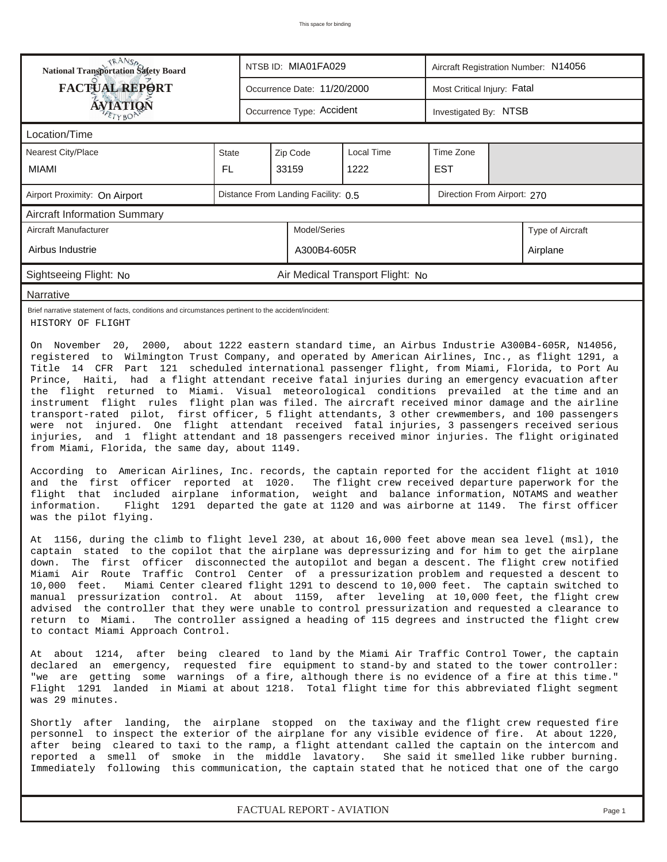| <b>National Transportation Safety Board</b>                                                                                                                                                                                                                   |                                                                                                                                                                                                                                                                                                                                                                                                                                                                                                                                                                                                                                                                                                                                                                                                                                                                                                                                                                                                                                                                                                                                                                                                                                                                                                                                                                                                                                                                                                                                                                                                                                                                                         |                                                                                                                                                                                                                                                                                                                                                                                                          | NTSB ID: MIA01FA029       |  |                                  |  | Aircraft Registration Number: N14056 |  |                                                                                     |  |  |
|---------------------------------------------------------------------------------------------------------------------------------------------------------------------------------------------------------------------------------------------------------------|-----------------------------------------------------------------------------------------------------------------------------------------------------------------------------------------------------------------------------------------------------------------------------------------------------------------------------------------------------------------------------------------------------------------------------------------------------------------------------------------------------------------------------------------------------------------------------------------------------------------------------------------------------------------------------------------------------------------------------------------------------------------------------------------------------------------------------------------------------------------------------------------------------------------------------------------------------------------------------------------------------------------------------------------------------------------------------------------------------------------------------------------------------------------------------------------------------------------------------------------------------------------------------------------------------------------------------------------------------------------------------------------------------------------------------------------------------------------------------------------------------------------------------------------------------------------------------------------------------------------------------------------------------------------------------------------|----------------------------------------------------------------------------------------------------------------------------------------------------------------------------------------------------------------------------------------------------------------------------------------------------------------------------------------------------------------------------------------------------------|---------------------------|--|----------------------------------|--|--------------------------------------|--|-------------------------------------------------------------------------------------|--|--|
| <b>FACTUAL REPORT</b>                                                                                                                                                                                                                                         |                                                                                                                                                                                                                                                                                                                                                                                                                                                                                                                                                                                                                                                                                                                                                                                                                                                                                                                                                                                                                                                                                                                                                                                                                                                                                                                                                                                                                                                                                                                                                                                                                                                                                         | Most Critical Injury: Fatal<br>Occurrence Date: 11/20/2000                                                                                                                                                                                                                                                                                                                                               |                           |  |                                  |  |                                      |  |                                                                                     |  |  |
| AVIATION                                                                                                                                                                                                                                                      |                                                                                                                                                                                                                                                                                                                                                                                                                                                                                                                                                                                                                                                                                                                                                                                                                                                                                                                                                                                                                                                                                                                                                                                                                                                                                                                                                                                                                                                                                                                                                                                                                                                                                         |                                                                                                                                                                                                                                                                                                                                                                                                          | Occurrence Type: Accident |  |                                  |  | Investigated By: NTSB                |  |                                                                                     |  |  |
| Location/Time                                                                                                                                                                                                                                                 |                                                                                                                                                                                                                                                                                                                                                                                                                                                                                                                                                                                                                                                                                                                                                                                                                                                                                                                                                                                                                                                                                                                                                                                                                                                                                                                                                                                                                                                                                                                                                                                                                                                                                         |                                                                                                                                                                                                                                                                                                                                                                                                          |                           |  |                                  |  |                                      |  |                                                                                     |  |  |
| Nearest City/Place                                                                                                                                                                                                                                            | State                                                                                                                                                                                                                                                                                                                                                                                                                                                                                                                                                                                                                                                                                                                                                                                                                                                                                                                                                                                                                                                                                                                                                                                                                                                                                                                                                                                                                                                                                                                                                                                                                                                                                   | Local Time<br>Zip Code                                                                                                                                                                                                                                                                                                                                                                                   |                           |  |                                  |  | Time Zone                            |  |                                                                                     |  |  |
| <b>MIAMI</b>                                                                                                                                                                                                                                                  | <b>FL</b>                                                                                                                                                                                                                                                                                                                                                                                                                                                                                                                                                                                                                                                                                                                                                                                                                                                                                                                                                                                                                                                                                                                                                                                                                                                                                                                                                                                                                                                                                                                                                                                                                                                                               | 33159                                                                                                                                                                                                                                                                                                                                                                                                    |                           |  | 1222                             |  | <b>EST</b>                           |  |                                                                                     |  |  |
| Airport Proximity: On Airport                                                                                                                                                                                                                                 |                                                                                                                                                                                                                                                                                                                                                                                                                                                                                                                                                                                                                                                                                                                                                                                                                                                                                                                                                                                                                                                                                                                                                                                                                                                                                                                                                                                                                                                                                                                                                                                                                                                                                         | Distance From Landing Facility: 0.5<br>Direction From Airport: 270                                                                                                                                                                                                                                                                                                                                       |                           |  |                                  |  |                                      |  |                                                                                     |  |  |
| <b>Aircraft Information Summary</b>                                                                                                                                                                                                                           |                                                                                                                                                                                                                                                                                                                                                                                                                                                                                                                                                                                                                                                                                                                                                                                                                                                                                                                                                                                                                                                                                                                                                                                                                                                                                                                                                                                                                                                                                                                                                                                                                                                                                         |                                                                                                                                                                                                                                                                                                                                                                                                          |                           |  |                                  |  |                                      |  |                                                                                     |  |  |
| Aircraft Manufacturer                                                                                                                                                                                                                                         |                                                                                                                                                                                                                                                                                                                                                                                                                                                                                                                                                                                                                                                                                                                                                                                                                                                                                                                                                                                                                                                                                                                                                                                                                                                                                                                                                                                                                                                                                                                                                                                                                                                                                         |                                                                                                                                                                                                                                                                                                                                                                                                          | Model/Series              |  |                                  |  |                                      |  | Type of Aircraft                                                                    |  |  |
| Airbus Industrie                                                                                                                                                                                                                                              |                                                                                                                                                                                                                                                                                                                                                                                                                                                                                                                                                                                                                                                                                                                                                                                                                                                                                                                                                                                                                                                                                                                                                                                                                                                                                                                                                                                                                                                                                                                                                                                                                                                                                         |                                                                                                                                                                                                                                                                                                                                                                                                          | A300B4-605R               |  |                                  |  |                                      |  | Airplane                                                                            |  |  |
| Sightseeing Flight: No                                                                                                                                                                                                                                        |                                                                                                                                                                                                                                                                                                                                                                                                                                                                                                                                                                                                                                                                                                                                                                                                                                                                                                                                                                                                                                                                                                                                                                                                                                                                                                                                                                                                                                                                                                                                                                                                                                                                                         |                                                                                                                                                                                                                                                                                                                                                                                                          |                           |  | Air Medical Transport Flight: No |  |                                      |  |                                                                                     |  |  |
| Narrative                                                                                                                                                                                                                                                     |                                                                                                                                                                                                                                                                                                                                                                                                                                                                                                                                                                                                                                                                                                                                                                                                                                                                                                                                                                                                                                                                                                                                                                                                                                                                                                                                                                                                                                                                                                                                                                                                                                                                                         |                                                                                                                                                                                                                                                                                                                                                                                                          |                           |  |                                  |  |                                      |  |                                                                                     |  |  |
| Brief narrative statement of facts, conditions and circumstances pertinent to the accident/incident:<br>HISTORY OF FLIGHT                                                                                                                                     |                                                                                                                                                                                                                                                                                                                                                                                                                                                                                                                                                                                                                                                                                                                                                                                                                                                                                                                                                                                                                                                                                                                                                                                                                                                                                                                                                                                                                                                                                                                                                                                                                                                                                         |                                                                                                                                                                                                                                                                                                                                                                                                          |                           |  |                                  |  |                                      |  |                                                                                     |  |  |
| information.<br>was the pilot flying.<br>down.<br>10,000 feet.                                                                                                                                                                                                | registered to Wilmington Trust Company, and operated by American Airlines, Inc., as flight 1291, a<br>Title 14 CFR Part 121 scheduled international passenger flight, from Miami, Florida, to Port Au<br>Prince, Haiti, had a flight attendant receive fatal injuries during an emergency evacuation after<br>the flight returned to Miami. Visual meteorological conditions prevailed at the time and an<br>instrument flight rules flight plan was filed. The aircraft received minor damage and the airline<br>transport-rated pilot, first officer, 5 flight attendants, 3 other crewmembers, and 100 passengers<br>were not injured. One flight attendant received fatal injuries, 3 passengers received serious<br>injuries, and 1 flight attendant and 18 passengers received minor injuries. The flight originated<br>from Miami, Florida, the same day, about 1149.<br>According to American Airlines, Inc. records, the captain reported for the accident flight at 1010<br>and the first officer reported at 1020.<br>The flight crew received departure paperwork for the<br>flight that included airplane information, weight and balance information, NOTAMS and weather<br>Flight 1291 departed the gate at 1120 and was airborne at 1149. The first officer<br>At 1156, during the climb to flight level 230, at about 16,000 feet above mean sea level (msl), the<br>captain stated to the copilot that the airplane was depressurizing and for him to get the airplane<br>The first officer disconnected the autopilot and began a descent. The flight crew notified<br>Miami Air Route Traffic Control Center of a pressurization problem and requested a descent to |                                                                                                                                                                                                                                                                                                                                                                                                          |                           |  |                                  |  |                                      |  | Miami Center cleared flight 1291 to descend to 10,000 feet. The captain switched to |  |  |
| manual pressurization control. At about 1159, after leveling at 10,000 feet, the flight crew<br>advised the controller that they were unable to control pressurization and requested a clearance to<br>return to Miami.<br>to contact Miami Approach Control. |                                                                                                                                                                                                                                                                                                                                                                                                                                                                                                                                                                                                                                                                                                                                                                                                                                                                                                                                                                                                                                                                                                                                                                                                                                                                                                                                                                                                                                                                                                                                                                                                                                                                                         |                                                                                                                                                                                                                                                                                                                                                                                                          |                           |  |                                  |  |                                      |  | The controller assigned a heading of 115 degrees and instructed the flight crew     |  |  |
| was 29 minutes.                                                                                                                                                                                                                                               |                                                                                                                                                                                                                                                                                                                                                                                                                                                                                                                                                                                                                                                                                                                                                                                                                                                                                                                                                                                                                                                                                                                                                                                                                                                                                                                                                                                                                                                                                                                                                                                                                                                                                         | At about 1214, after being cleared to land by the Miami Air Traffic Control Tower, the captain<br>declared an emergency, requested fire equipment to stand-by and stated to the tower controller:<br>"we are getting some warnings of a fire, although there is no evidence of a fire at this time."<br>Flight 1291 landed in Miami at about 1218. Total flight time for this abbreviated flight segment |                           |  |                                  |  |                                      |  |                                                                                     |  |  |
|                                                                                                                                                                                                                                                               | Shortly after landing, the airplane stopped on the taxiway and the flight crew requested fire<br>personnel to inspect the exterior of the airplane for any visible evidence of fire. At about 1220,<br>after being cleared to taxi to the ramp, a flight attendant called the captain on the intercom and<br>reported a smell of smoke in the middle lavatory. She said it smelled like rubber burning.<br>Immediately following this communication, the captain stated that he noticed that one of the cargo                                                                                                                                                                                                                                                                                                                                                                                                                                                                                                                                                                                                                                                                                                                                                                                                                                                                                                                                                                                                                                                                                                                                                                           |                                                                                                                                                                                                                                                                                                                                                                                                          |                           |  |                                  |  |                                      |  |                                                                                     |  |  |

*FACTUAL REPORT - AVIATION Page 1*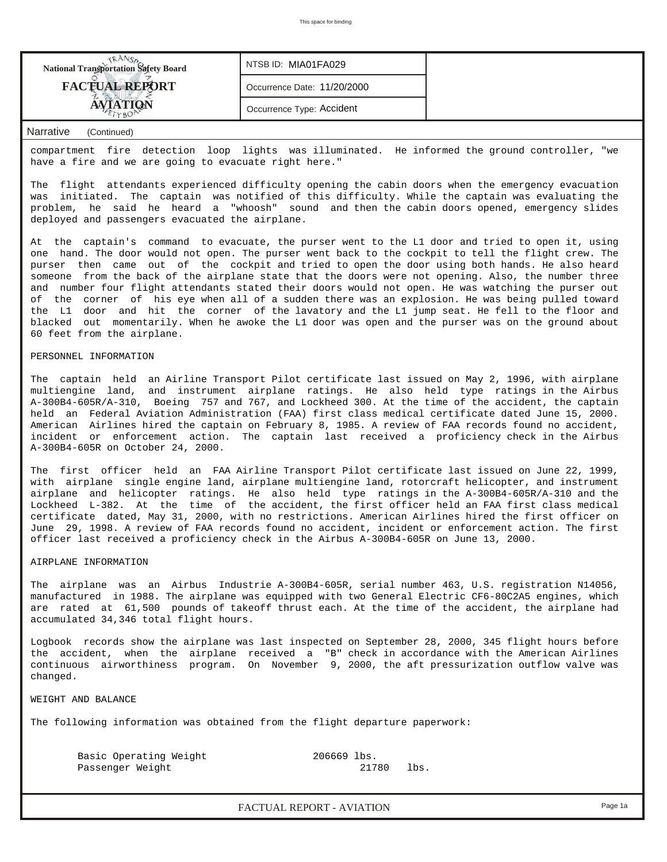

compartment fire detection loop lights was illuminated. He informed the ground controller, "we have a fire and we are going to evacuate right here."

The flight attendants experienced difficulty opening the cabin doors when the emergency evacuation was initiated. The captain was notified of this difficulty. While the captain was evaluating the problem, he said he heard a "whoosh" sound and then the cabin doors opened, emergency slides deployed and passengers evacuated the airplane.

At the captain's command to evacuate, the purser went to the L1 door and tried to open it, using one hand. The door would not open. The purser went back to the cockpit to tell the flight crew. The purser then came out of the cockpit and tried to open the door using both hands. He also heard someone from the back of the airplane state that the doors were not opening. Also, the number three and number four flight attendants stated their doors would not open. He was watching the purser out of the corner of his eye when all of a sudden there was an explosion. He was being pulled toward the L1 door and hit the corner of the lavatory and the L1 jump seat. He fell to the floor and blacked out momentarily. When he awoke the L1 door was open and the purser was on the ground about 60 feet from the airplane.

#### PERSONNEL INFORMATION

The captain held an Airline Transport Pilot certificate last issued on May 2, 1996, with airplane multiengine land, and instrument airplane ratings. He also held type ratings in the Airbus A-300B4-605R/A-310, Boeing 757 and 767, and Lockheed 300. At the time of the accident, the captain held an Federal Aviation Administration (FAA) first class medical certificate dated June 15, 2000. American Airlines hired the captain on February 8, 1985. A review of FAA records found no accident, incident or enforcement action. The captain last received a proficiency check in the Airbus A-300B4-605R on October 24, 2000.

The first officer held an FAA Airline Transport Pilot certificate last issued on June 22, 1999, with airplane single engine land, airplane multiengine land, rotorcraft helicopter, and instrument airplane and helicopter ratings. He also held type ratings in the A-300B4-605R/A-310 and the Lockheed L-382. At the time of the accident, the first officer held an FAA first class medical certificate dated, May 31, 2000, with no restrictions. American Airlines hired the first officer on June 29, 1998. A review of FAA records found no accident, incident or enforcement action. The first officer last received a proficiency check in the Airbus A-300B4-605R on June 13, 2000.

#### AIRPLANE INFORMATION

The airplane was an Airbus Industrie A-300B4-605R, serial number 463, U.S. registration N14056, manufactured in 1988. The airplane was equipped with two General Electric CF6-80C2A5 engines, which are rated at 61,500 pounds of takeoff thrust each. At the time of the accident, the airplane had accumulated 34,346 total flight hours.

Logbook records show the airplane was last inspected on September 28, 2000, 345 flight hours before the accident, when the airplane received a "B" check in accordance with the American Airlines continuous airworthiness program. On November 9, 2000, the aft pressurization outflow valve was changed.

WEIGHT AND BALANCE

The following information was obtained from the flight departure paperwork:

Basic Operating Weight 206669 lbs. Passenger Weight 21780 lbs.

*FACTUAL REPORT - AVIATION Page 1a*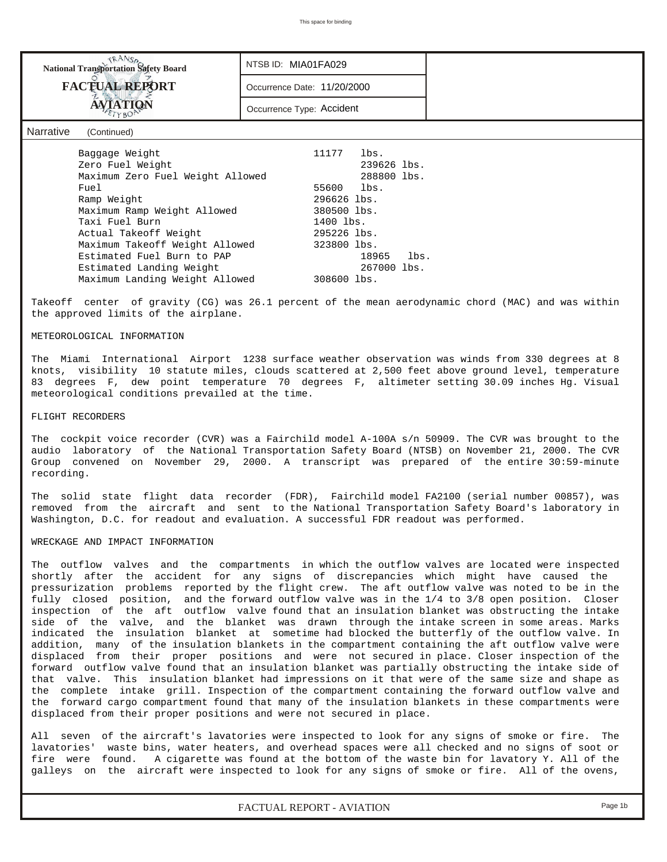| <b>NANSA</b><br>National Transportation Safety Board | NTSB ID: MIA01FA029         |             |      |
|------------------------------------------------------|-----------------------------|-------------|------|
| <b>FACTUAL REPORT</b>                                | Occurrence Date: 11/20/2000 |             |      |
| <b>AVIATION</b>                                      | Occurrence Type: Accident   |             |      |
| <b>Narrative</b><br>(Continued)                      |                             |             |      |
| Baggage Weight                                       | 11177                       | lbs.        |      |
| Zero Fuel Weight                                     |                             | 239626 lbs. |      |
| Maximum Zero Fuel Weight Allowed                     |                             | 288800 lbs. |      |
| Fuel                                                 | 55600                       | lbs.        |      |
| Ramp Weight                                          | 296626 lbs.                 |             |      |
| Maximum Ramp Weight Allowed                          | 380500 lbs.                 |             |      |
| Taxi Fuel Burn                                       | 1400 lbs.                   |             |      |
| Actual Takeoff Weight                                | 295226 lbs.                 |             |      |
| Maximum Takeoff Weight Allowed                       | 323800 lbs.                 |             |      |
| Estimated Fuel Burn to PAP                           |                             | 18965       | lbs. |

Takeoff center of gravity (CG) was 26.1 percent of the mean aerodynamic chord (MAC) and was within the approved limits of the airplane.

Estimated Landing Weight 267000 lbs.

Maximum Landing Weight Allowed 308600 lbs.

#### METEOROLOGICAL INFORMATION

The Miami International Airport 1238 surface weather observation was winds from 330 degrees at 8 knots, visibility 10 statute miles, clouds scattered at 2,500 feet above ground level, temperature 83 degrees F, dew point temperature 70 degrees F, altimeter setting 30.09 inches Hg. Visual meteorological conditions prevailed at the time.

#### FLIGHT RECORDERS

The cockpit voice recorder (CVR) was a Fairchild model A-100A s/n 50909. The CVR was brought to the audio laboratory of the National Transportation Safety Board (NTSB) on November 21, 2000. The CVR Group convened on November 29, 2000. A transcript was prepared of the entire 30:59-minute recording.

The solid state flight data recorder (FDR), Fairchild model FA2100 (serial number 00857), was removed from the aircraft and sent to the National Transportation Safety Board's laboratory in Washington, D.C. for readout and evaluation. A successful FDR readout was performed.

#### WRECKAGE AND IMPACT INFORMATION

The outflow valves and the compartments in which the outflow valves are located were inspected shortly after the accident for any signs of discrepancies which might have caused the pressurization problems reported by the flight crew. The aft outflow valve was noted to be in the fully closed position, and the forward outflow valve was in the 1/4 to 3/8 open position. Closer inspection of the aft outflow valve found that an insulation blanket was obstructing the intake side of the valve, and the blanket was drawn through the intake screen in some areas. Marks indicated the insulation blanket at sometime had blocked the butterfly of the outflow valve. In addition, many of the insulation blankets in the compartment containing the aft outflow valve were displaced from their proper positions and were not secured in place. Closer inspection of the forward outflow valve found that an insulation blanket was partially obstructing the intake side of that valve. This insulation blanket had impressions on it that were of the same size and shape as the complete intake grill. Inspection of the compartment containing the forward outflow valve and the forward cargo compartment found that many of the insulation blankets in these compartments were displaced from their proper positions and were not secured in place.

All seven of the aircraft's lavatories were inspected to look for any signs of smoke or fire. The lavatories' waste bins, water heaters, and overhead spaces were all checked and no signs of soot or fire were found. A cigarette was found at the bottom of the waste bin for lavatory Y. All of the galleys on the aircraft were inspected to look for any signs of smoke or fire. All of the ovens,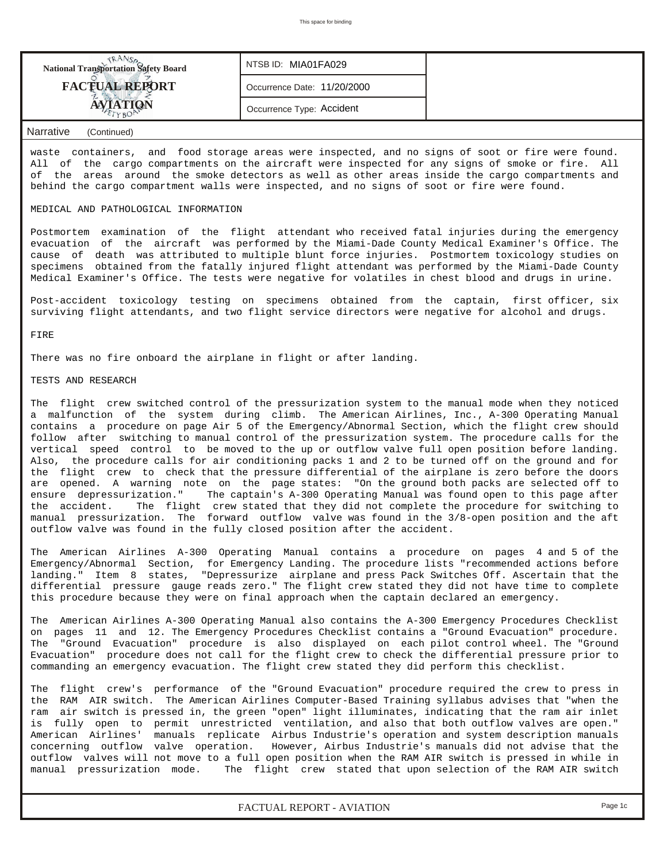| <b>National Transportation Safety Board</b> | NTSB ID: MIA01FA029         |  |
|---------------------------------------------|-----------------------------|--|
| <b>FACTUAL REPORT</b>                       | Occurrence Date: 11/20/2000 |  |
|                                             | Occurrence Type: Accident   |  |

waste containers, and food storage areas were inspected, and no signs of soot or fire were found. All of the cargo compartments on the aircraft were inspected for any signs of smoke or fire. All of the areas around the smoke detectors as well as other areas inside the cargo compartments and behind the cargo compartment walls were inspected, and no signs of soot or fire were found.

#### MEDICAL AND PATHOLOGICAL INFORMATION

Postmortem examination of the flight attendant who received fatal injuries during the emergency evacuation of the aircraft was performed by the Miami-Dade County Medical Examiner's Office. The cause of death was attributed to multiple blunt force injuries. Postmortem toxicology studies on specimens obtained from the fatally injured flight attendant was performed by the Miami-Dade County Medical Examiner's Office. The tests were negative for volatiles in chest blood and drugs in urine.

Post-accident toxicology testing on specimens obtained from the captain, first officer, six surviving flight attendants, and two flight service directors were negative for alcohol and drugs.

FIRE

There was no fire onboard the airplane in flight or after landing.

#### TESTS AND RESEARCH

The flight crew switched control of the pressurization system to the manual mode when they noticed a malfunction of the system during climb. The American Airlines, Inc., A-300 Operating Manual contains a procedure on page Air 5 of the Emergency/Abnormal Section, which the flight crew should follow after switching to manual control of the pressurization system. The procedure calls for the vertical speed control to be moved to the up or outflow valve full open position before landing. Also, the procedure calls for air conditioning packs 1 and 2 to be turned off on the ground and for the flight crew to check that the pressure differential of the airplane is zero before the doors are opened. A warning note on the page states: "On the ground both packs are selected off to ensure depressurization." The captain's A-300 Operating Manual was found open to this page after the accident. The flight crew stated that they did not complete the procedure for switching to manual pressurization. The forward outflow valve was found in the 3/8-open position and the aft outflow valve was found in the fully closed position after the accident.

The American Airlines A-300 Operating Manual contains a procedure on pages 4 and 5 of the Emergency/Abnormal Section, for Emergency Landing. The procedure lists "recommended actions before landing." Item 8 states, "Depressurize airplane and press Pack Switches Off. Ascertain that the differential pressure gauge reads zero." The flight crew stated they did not have time to complete this procedure because they were on final approach when the captain declared an emergency.

The American Airlines A-300 Operating Manual also contains the A-300 Emergency Procedures Checklist on pages 11 and 12. The Emergency Procedures Checklist contains a "Ground Evacuation" procedure. The "Ground Evacuation" procedure is also displayed on each pilot control wheel. The "Ground Evacuation" procedure does not call for the flight crew to check the differential pressure prior to commanding an emergency evacuation. The flight crew stated they did perform this checklist.

The flight crew's performance of the "Ground Evacuation" procedure required the crew to press in the RAM AIR switch. The American Airlines Computer-Based Training syllabus advises that "when the ram air switch is pressed in, the green "open" light illuminates, indicating that the ram air inlet is fully open to permit unrestricted ventilation, and also that both outflow valves are open." American Airlines' manuals replicate Airbus Industrie's operation and system description manuals concerning outflow valve operation. However, Airbus Industrie's manuals did not advise that the outflow valves will not move to a full open position when the RAM AIR switch is pressed in while in<br>manual pressurization mode. The flight crew stated that upon selection of the RAM AIR switch The flight crew stated that upon selection of the RAM AIR switch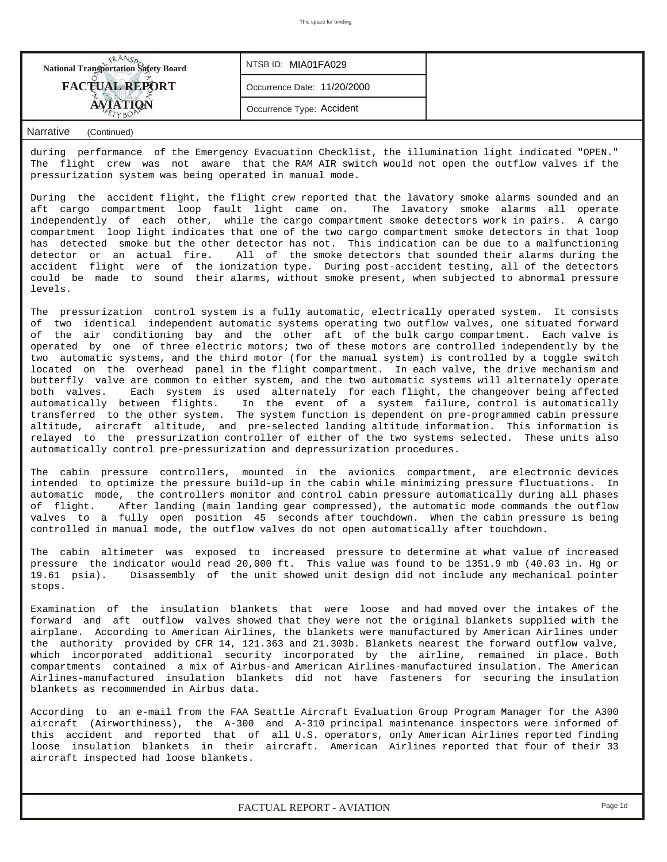| <b>National Transportation Safety Board</b> | NTSB ID: MIA01FA029         |  |
|---------------------------------------------|-----------------------------|--|
| <b>FACTUAL REPORT</b>                       | Occurrence Date: 11/20/2000 |  |
|                                             | Occurrence Type: Accident   |  |

during performance of the Emergency Evacuation Checklist, the illumination light indicated "OPEN." The flight crew was not aware that the RAM AIR switch would not open the outflow valves if the pressurization system was being operated in manual mode.

During the accident flight, the flight crew reported that the lavatory smoke alarms sounded and an aft cargo compartment loop fault light came on. The lavatory smoke alarms all operate independently of each other, while the cargo compartment smoke detectors work in pairs. A cargo compartment loop light indicates that one of the two cargo compartment smoke detectors in that loop has detected smoke but the other detector has not. This indication can be due to a malfunctioning detector or an actual fire. All of the smoke detectors that sounded their alarms during the accident flight were of the ionization type. During post-accident testing, all of the detectors could be made to sound their alarms, without smoke present, when subjected to abnormal pressure levels.

The pressurization control system is a fully automatic, electrically operated system. It consists of two identical independent automatic systems operating two outflow valves, one situated forward of the air conditioning bay and the other aft of the bulk cargo compartment. Each valve is operated by one of three electric motors; two of these motors are controlled independently by the two automatic systems, and the third motor (for the manual system) is controlled by a toggle switch located on the overhead panel in the flight compartment. In each valve, the drive mechanism and butterfly valve are common to either system, and the two automatic systems will alternately operate both valves. Each system is used alternately for each flight, the changeover being affected automatically between flights. In the event of a system failure, control is automatically transferred to the other system. The system function is dependent on pre-programmed cabin pressure altitude, aircraft altitude, and pre-selected landing altitude information. This information is relayed to the pressurization controller of either of the two systems selected. These units also automatically control pre-pressurization and depressurization procedures.

The cabin pressure controllers, mounted in the avionics compartment, are electronic devices intended to optimize the pressure build-up in the cabin while minimizing pressure fluctuations. In automatic mode, the controllers monitor and control cabin pressure automatically during all phases of flight. After landing (main landing gear compressed), the automatic mode commands the outflow valves to a fully open position 45 seconds after touchdown. When the cabin pressure is being controlled in manual mode, the outflow valves do not open automatically after touchdown.

The cabin altimeter was exposed to increased pressure to determine at what value of increased pressure the indicator would read 20,000 ft. This value was found to be 1351.9 mb (40.03 in. Hg or 19.61 psia). Disassembly of the unit showed unit design did not include any mechanical pointer stops.

Examination of the insulation blankets that were loose and had moved over the intakes of the forward and aft outflow valves showed that they were not the original blankets supplied with the airplane. According to American Airlines, the blankets were manufactured by American Airlines under the authority provided by CFR 14, 121.363 and 21.303b. Blankets nearest the forward outflow valve, which incorporated additional security incorporated by the airline, remained in place. Both compartments contained a mix of Airbus-and American Airlines-manufactured insulation. The American Airlines-manufactured insulation blankets did not have fasteners for securing the insulation blankets as recommended in Airbus data.

According to an e-mail from the FAA Seattle Aircraft Evaluation Group Program Manager for the A300 aircraft (Airworthiness), the A-300 and A-310 principal maintenance inspectors were informed of this accident and reported that of all U.S. operators, only American Airlines reported finding loose insulation blankets in their aircraft. American Airlines reported that four of their 33 aircraft inspected had loose blankets.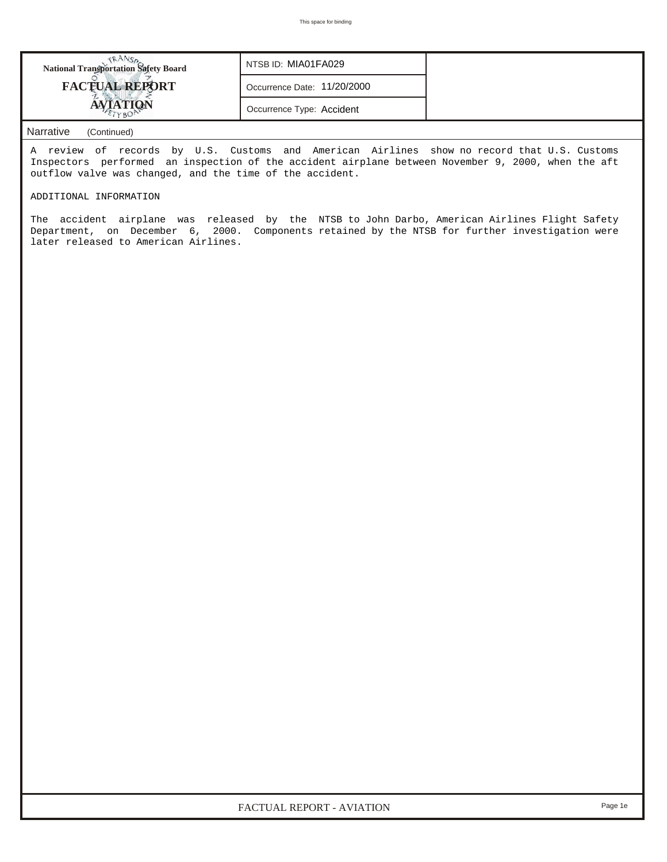| <b>FACTUAL REPORT</b> | Occurrence Date: 11/20/2000 |  |
|-----------------------|-----------------------------|--|
|                       | Occurrence Type: Accident   |  |

A review of records by U.S. Customs and American Airlines show no record that U.S. Customs Inspectors performed an inspection of the accident airplane between November 9, 2000, when the aft outflow valve was changed, and the time of the accident.

## ADDITIONAL INFORMATION

The accident airplane was released by the NTSB to John Darbo, American Airlines Flight Safety Department, on December 6, 2000. Components retained by the NTSB for further investigation were later released to American Airlines.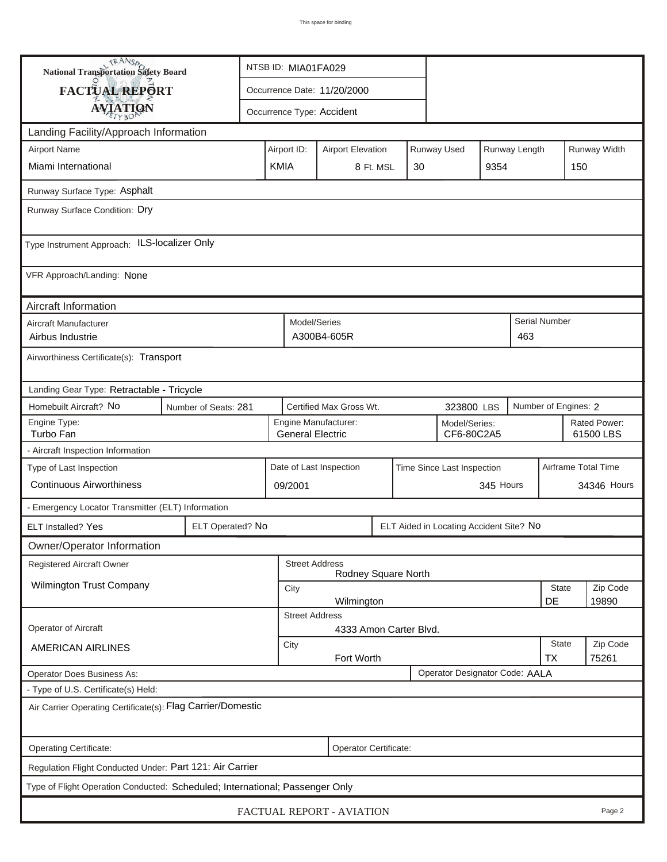| <b>National Transportation Safety Board</b>                                  |                      | NTSB ID: MIA01FA029 |                         |                             |           |    |                                         |           |                      |                           |                           |
|------------------------------------------------------------------------------|----------------------|---------------------|-------------------------|-----------------------------|-----------|----|-----------------------------------------|-----------|----------------------|---------------------------|---------------------------|
| FACTUAL REPORT                                                               |                      |                     |                         | Occurrence Date: 11/20/2000 |           |    |                                         |           |                      |                           |                           |
| <b>AVIATION</b>                                                              |                      |                     |                         | Occurrence Type: Accident   |           |    |                                         |           |                      |                           |                           |
| Landing Facility/Approach Information                                        |                      |                     |                         |                             |           |    |                                         |           |                      |                           |                           |
| <b>Airport Name</b>                                                          |                      |                     | Airport ID:             | <b>Airport Elevation</b>    |           |    | Runway Used                             |           | Runway Length        |                           | Runway Width              |
| Miami International                                                          |                      | <b>KMIA</b>         |                         |                             | 8 Ft. MSL | 30 |                                         | 9354      |                      | 150                       |                           |
| Runway Surface Type: Asphalt                                                 |                      |                     |                         |                             |           |    |                                         |           |                      |                           |                           |
| Runway Surface Condition: Dry                                                |                      |                     |                         |                             |           |    |                                         |           |                      |                           |                           |
| Type Instrument Approach: ILS-localizer Only                                 |                      |                     |                         |                             |           |    |                                         |           |                      |                           |                           |
| VFR Approach/Landing: None                                                   |                      |                     |                         |                             |           |    |                                         |           |                      |                           |                           |
| Aircraft Information                                                         |                      |                     |                         |                             |           |    |                                         |           |                      |                           |                           |
| Aircraft Manufacturer<br>Airbus Industrie                                    |                      |                     | Model/Series            | A300B4-605R                 |           |    |                                         |           | Serial Number<br>463 |                           |                           |
| Airworthiness Certificate(s): Transport                                      |                      |                     |                         |                             |           |    |                                         |           |                      |                           |                           |
| Landing Gear Type: Retractable - Tricycle                                    |                      |                     |                         |                             |           |    |                                         |           |                      |                           |                           |
| Homebuilt Aircraft? No                                                       | Number of Seats: 281 |                     |                         | Certified Max Gross Wt.     |           |    | 323800 LBS                              |           |                      | Number of Engines: 2      |                           |
| Engine Type:<br>Turbo Fan                                                    |                      |                     | <b>General Electric</b> | Engine Manufacturer:        |           |    | Model/Series:<br>CF6-80C2A5             |           |                      |                           | Rated Power:<br>61500 LBS |
| - Aircraft Inspection Information                                            |                      |                     |                         |                             |           |    |                                         |           |                      |                           |                           |
| Type of Last Inspection                                                      |                      |                     |                         | Date of Last Inspection     |           |    | Time Since Last Inspection              |           |                      | Airframe Total Time       |                           |
| <b>Continuous Airworthiness</b>                                              |                      |                     | 09/2001                 |                             |           |    |                                         | 345 Hours |                      |                           | 34346 Hours               |
| - Emergency Locator Transmitter (ELT) Information                            |                      |                     |                         |                             |           |    |                                         |           |                      |                           |                           |
| <b>ELT Installed? Yes</b>                                                    | ELT Operated? No     |                     |                         |                             |           |    | ELT Aided in Locating Accident Site? No |           |                      |                           |                           |
| Owner/Operator Information                                                   |                      |                     |                         |                             |           |    |                                         |           |                      |                           |                           |
| Registered Aircraft Owner                                                    |                      |                     | <b>Street Address</b>   | Rodney Square North         |           |    |                                         |           |                      |                           |                           |
| Wilmington Trust Company                                                     |                      |                     | City                    |                             |           |    |                                         |           |                      | State                     | Zip Code                  |
|                                                                              |                      |                     | <b>Street Address</b>   | Wilmington                  |           |    |                                         |           |                      | DE                        | 19890                     |
| Operator of Aircraft                                                         |                      |                     |                         | 4333 Amon Carter Blvd.      |           |    |                                         |           |                      |                           |                           |
| <b>AMERICAN AIRLINES</b>                                                     |                      |                     | City                    | Fort Worth                  |           |    |                                         |           |                      | <b>State</b><br><b>TX</b> | Zip Code<br>75261         |
| <b>Operator Does Business As:</b>                                            |                      |                     |                         |                             |           |    | Operator Designator Code: AALA          |           |                      |                           |                           |
| - Type of U.S. Certificate(s) Held:                                          |                      |                     |                         |                             |           |    |                                         |           |                      |                           |                           |
| Air Carrier Operating Certificate(s): Flag Carrier/Domestic                  |                      |                     |                         |                             |           |    |                                         |           |                      |                           |                           |
| Operating Certificate:                                                       |                      |                     |                         | Operator Certificate:       |           |    |                                         |           |                      |                           |                           |
| Regulation Flight Conducted Under: Part 121: Air Carrier                     |                      |                     |                         |                             |           |    |                                         |           |                      |                           |                           |
| Type of Flight Operation Conducted: Scheduled; International; Passenger Only |                      |                     |                         |                             |           |    |                                         |           |                      |                           |                           |
|                                                                              |                      |                     |                         | FACTUAL REPORT - AVIATION   |           |    |                                         |           |                      |                           | Page 2                    |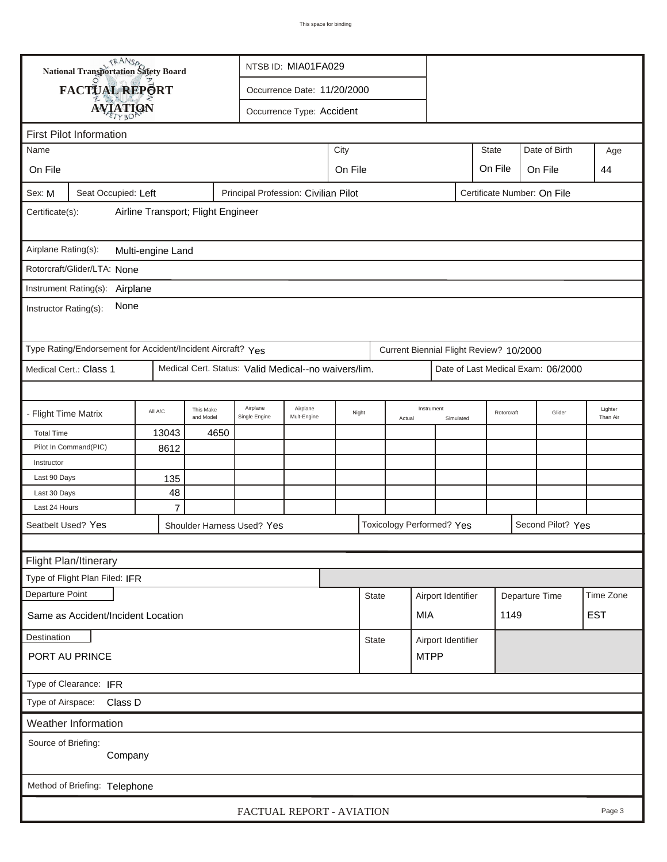|                       | <b>National Transportation Safety Board</b>                 |                                    |                        | NTSB ID: MIA01FA029                                                                        |                                      |         |              |        |                                         |           |              |                             |                     |
|-----------------------|-------------------------------------------------------------|------------------------------------|------------------------|--------------------------------------------------------------------------------------------|--------------------------------------|---------|--------------|--------|-----------------------------------------|-----------|--------------|-----------------------------|---------------------|
|                       | <b>FACTUAL REPORT</b>                                       |                                    |                        | Occurrence Date: 11/20/2000                                                                |                                      |         |              |        |                                         |           |              |                             |                     |
|                       |                                                             |                                    |                        |                                                                                            | Occurrence Type: Accident            |         |              |        |                                         |           |              |                             |                     |
|                       | <b>AVIATION</b>                                             |                                    |                        |                                                                                            |                                      |         |              |        |                                         |           |              |                             |                     |
|                       | <b>First Pilot Information</b>                              |                                    |                        |                                                                                            |                                      |         |              |        |                                         |           |              |                             |                     |
| Name                  |                                                             |                                    |                        |                                                                                            |                                      | City    |              |        |                                         |           | <b>State</b> | Date of Birth               | Age                 |
| On File               |                                                             |                                    |                        |                                                                                            |                                      | On File |              |        |                                         |           | On File      | On File                     | 44                  |
| Sex: M                | Seat Occupied: Left                                         |                                    |                        |                                                                                            | Principal Profession: Civilian Pilot |         |              |        |                                         |           |              | Certificate Number: On File |                     |
| Certificate(s):       |                                                             | Airline Transport; Flight Engineer |                        |                                                                                            |                                      |         |              |        |                                         |           |              |                             |                     |
| Airplane Rating(s):   |                                                             | Multi-engine Land                  |                        |                                                                                            |                                      |         |              |        |                                         |           |              |                             |                     |
|                       | Rotorcraft/Glider/LTA: None                                 |                                    |                        |                                                                                            |                                      |         |              |        |                                         |           |              |                             |                     |
|                       | Instrument Rating(s): Airplane                              |                                    |                        |                                                                                            |                                      |         |              |        |                                         |           |              |                             |                     |
| Instructor Rating(s): | None                                                        |                                    |                        |                                                                                            |                                      |         |              |        |                                         |           |              |                             |                     |
|                       |                                                             |                                    |                        |                                                                                            |                                      |         |              |        |                                         |           |              |                             |                     |
|                       | Type Rating/Endorsement for Accident/Incident Aircraft? Yes |                                    |                        |                                                                                            |                                      |         |              |        | Current Biennial Flight Review? 10/2000 |           |              |                             |                     |
|                       | Medical Cert.: Class 1                                      |                                    |                        | Medical Cert. Status: Valid Medical--no waivers/lim.<br>Date of Last Medical Exam: 06/2000 |                                      |         |              |        |                                         |           |              |                             |                     |
|                       |                                                             |                                    |                        |                                                                                            |                                      |         |              |        |                                         |           |              |                             |                     |
| - Flight Time Matrix  |                                                             | All A/C                            | This Make<br>and Model | Airplane<br>Single Engine                                                                  | Airplane<br>Mult-Engine              | Night   |              | Actual | Instrument                              | Simulated | Rotorcraft   | Glider                      | Lighter<br>Than Air |
| <b>Total Time</b>     |                                                             | 13043                              | 4650                   |                                                                                            |                                      |         |              |        |                                         |           |              |                             |                     |
|                       | Pilot In Command(PIC)                                       | 8612                               |                        |                                                                                            |                                      |         |              |        |                                         |           |              |                             |                     |
| Instructor            |                                                             |                                    |                        |                                                                                            |                                      |         |              |        |                                         |           |              |                             |                     |
| Last 90 Days          |                                                             | 135                                |                        |                                                                                            |                                      |         |              |        |                                         |           |              |                             |                     |
| Last 30 Days          |                                                             | 48                                 |                        |                                                                                            |                                      |         |              |        |                                         |           |              |                             |                     |
| Last 24 Hours         |                                                             | $\overline{7}$                     |                        |                                                                                            |                                      |         |              |        |                                         |           |              |                             |                     |
| Seatbelt Used? Yes    |                                                             |                                    |                        | Shoulder Harness Used? Yes                                                                 |                                      |         |              |        | <b>Toxicology Performed? Yes</b>        |           |              | Second Pilot? Yes           |                     |
|                       |                                                             |                                    |                        |                                                                                            |                                      |         |              |        |                                         |           |              |                             |                     |
|                       | Flight Plan/Itinerary                                       |                                    |                        |                                                                                            |                                      |         |              |        |                                         |           |              |                             |                     |
|                       | Type of Flight Plan Filed: IFR                              |                                    |                        |                                                                                            |                                      |         |              |        |                                         |           |              |                             |                     |
| Departure Point       |                                                             |                                    |                        |                                                                                            |                                      |         | <b>State</b> |        | Airport Identifier                      |           |              | Departure Time              | Time Zone           |
|                       | Same as Accident/Incident Location                          |                                    |                        |                                                                                            |                                      |         |              |        | MIA                                     |           | 1149         |                             | <b>EST</b>          |
| Destination           |                                                             |                                    |                        |                                                                                            |                                      |         | <b>State</b> |        | Airport Identifier                      |           |              |                             |                     |
|                       | PORT AU PRINCE                                              |                                    |                        |                                                                                            |                                      |         |              |        | <b>MTPP</b>                             |           |              |                             |                     |
|                       | Type of Clearance: IFR                                      |                                    |                        |                                                                                            |                                      |         |              |        |                                         |           |              |                             |                     |
| Type of Airspace:     | Class D                                                     |                                    |                        |                                                                                            |                                      |         |              |        |                                         |           |              |                             |                     |
|                       | Weather Information                                         |                                    |                        |                                                                                            |                                      |         |              |        |                                         |           |              |                             |                     |
| Source of Briefing:   |                                                             |                                    |                        |                                                                                            |                                      |         |              |        |                                         |           |              |                             |                     |
|                       | Company                                                     |                                    |                        |                                                                                            |                                      |         |              |        |                                         |           |              |                             |                     |
|                       | Method of Briefing: Telephone                               |                                    |                        |                                                                                            |                                      |         |              |        |                                         |           |              |                             |                     |
|                       |                                                             |                                    |                        |                                                                                            |                                      |         |              |        |                                         |           |              |                             |                     |
|                       |                                                             |                                    |                        |                                                                                            | FACTUAL REPORT - AVIATION            |         |              |        |                                         |           |              |                             | Page 3              |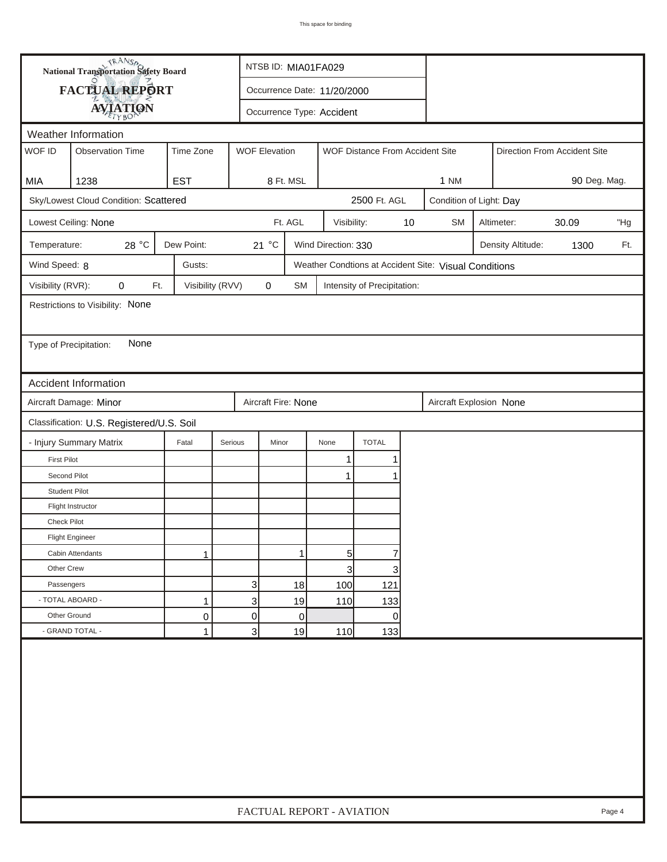|                        | <b>National Transportation Safety Board</b> |                  |                | NTSB ID: MIA01FA029  |           |                             |                                 |    |                                                       |                   |                              |        |
|------------------------|---------------------------------------------|------------------|----------------|----------------------|-----------|-----------------------------|---------------------------------|----|-------------------------------------------------------|-------------------|------------------------------|--------|
|                        | <b>FACTUAL REPORT</b>                       |                  |                |                      |           | Occurrence Date: 11/20/2000 |                                 |    |                                                       |                   |                              |        |
|                        | <b>AVIATION</b>                             |                  |                |                      |           | Occurrence Type: Accident   |                                 |    |                                                       |                   |                              |        |
|                        | Weather Information                         |                  |                |                      |           |                             |                                 |    |                                                       |                   |                              |        |
| WOF ID                 | <b>Observation Time</b>                     | Time Zone        |                | <b>WOF Elevation</b> |           |                             | WOF Distance From Accident Site |    |                                                       |                   | Direction From Accident Site |        |
|                        |                                             |                  |                |                      |           |                             |                                 |    |                                                       |                   |                              |        |
| MIA                    | 1238                                        | <b>EST</b>       |                | 8 Ft. MSL            |           |                             |                                 |    | <b>1 NM</b>                                           |                   | 90 Deg. Mag.                 |        |
|                        | Sky/Lowest Cloud Condition: Scattered       |                  |                |                      |           |                             | 2500 Ft. AGL                    |    | Condition of Light: Day                               |                   |                              |        |
|                        | Lowest Ceiling: None                        |                  |                | Ft. AGL              |           | Visibility:                 |                                 | 10 | <b>SM</b>                                             | Altimeter:        | 30.09                        | "Hg    |
| Temperature:           | 28 °C                                       | Dew Point:       |                | 21 °C                |           | Wind Direction: 330         |                                 |    |                                                       | Density Altitude: | 1300                         | Ft.    |
| Wind Speed: 8          |                                             | Gusts:           |                |                      |           |                             |                                 |    | Weather Condtions at Accident Site: Visual Conditions |                   |                              |        |
| Visibility (RVR):      | 0<br>Ft.                                    | Visibility (RVV) |                | 0                    | <b>SM</b> |                             | Intensity of Precipitation:     |    |                                                       |                   |                              |        |
|                        | Restrictions to Visibility: None            |                  |                |                      |           |                             |                                 |    |                                                       |                   |                              |        |
|                        |                                             |                  |                |                      |           |                             |                                 |    |                                                       |                   |                              |        |
| Type of Precipitation: | None                                        |                  |                |                      |           |                             |                                 |    |                                                       |                   |                              |        |
|                        |                                             |                  |                |                      |           |                             |                                 |    |                                                       |                   |                              |        |
|                        | Accident Information                        |                  |                |                      |           |                             |                                 |    |                                                       |                   |                              |        |
|                        | Aircraft Damage: Minor                      |                  |                | Aircraft Fire: None  |           |                             |                                 |    | Aircraft Explosion None                               |                   |                              |        |
|                        | Classification: U.S. Registered/U.S. Soil   |                  |                |                      |           |                             |                                 |    |                                                       |                   |                              |        |
|                        | - Injury Summary Matrix                     | Fatal            | Serious        | Minor                |           | None                        | <b>TOTAL</b>                    |    |                                                       |                   |                              |        |
| <b>First Pilot</b>     |                                             |                  |                |                      |           | 1                           | 1                               |    |                                                       |                   |                              |        |
| Second Pilot           |                                             |                  |                |                      |           | 1                           |                                 |    |                                                       |                   |                              |        |
| <b>Student Pilot</b>   |                                             |                  |                |                      |           |                             |                                 |    |                                                       |                   |                              |        |
|                        | Flight Instructor                           |                  |                |                      |           |                             |                                 |    |                                                       |                   |                              |        |
| <b>Check Pilot</b>     |                                             |                  |                |                      |           |                             |                                 |    |                                                       |                   |                              |        |
|                        | <b>Flight Engineer</b>                      |                  |                |                      |           |                             |                                 |    |                                                       |                   |                              |        |
|                        | Cabin Attendants                            | 1                |                |                      | 1         | 5                           | 7                               |    |                                                       |                   |                              |        |
| Other Crew             |                                             |                  |                |                      |           | 3                           | 3                               |    |                                                       |                   |                              |        |
| Passengers             |                                             |                  | $\mathbf{3}$   |                      | 18        | 100                         | 121                             |    |                                                       |                   |                              |        |
| - TOTAL ABOARD -       |                                             | 1                | $\mathbf{3}$   |                      | 19        | 110                         | 133                             |    |                                                       |                   |                              |        |
| Other Ground           |                                             | $\mathsf 0$      | $\overline{0}$ |                      | 0         |                             | 0                               |    |                                                       |                   |                              |        |
|                        | - GRAND TOTAL -                             | $\mathbf{1}$     | 3 <sup>2</sup> |                      | 19        | 110                         | 133                             |    |                                                       |                   |                              |        |
|                        |                                             |                  |                |                      |           |                             |                                 |    |                                                       |                   |                              |        |
|                        |                                             |                  |                |                      |           | FACTUAL REPORT - AVIATION   |                                 |    |                                                       |                   |                              | Page 4 |